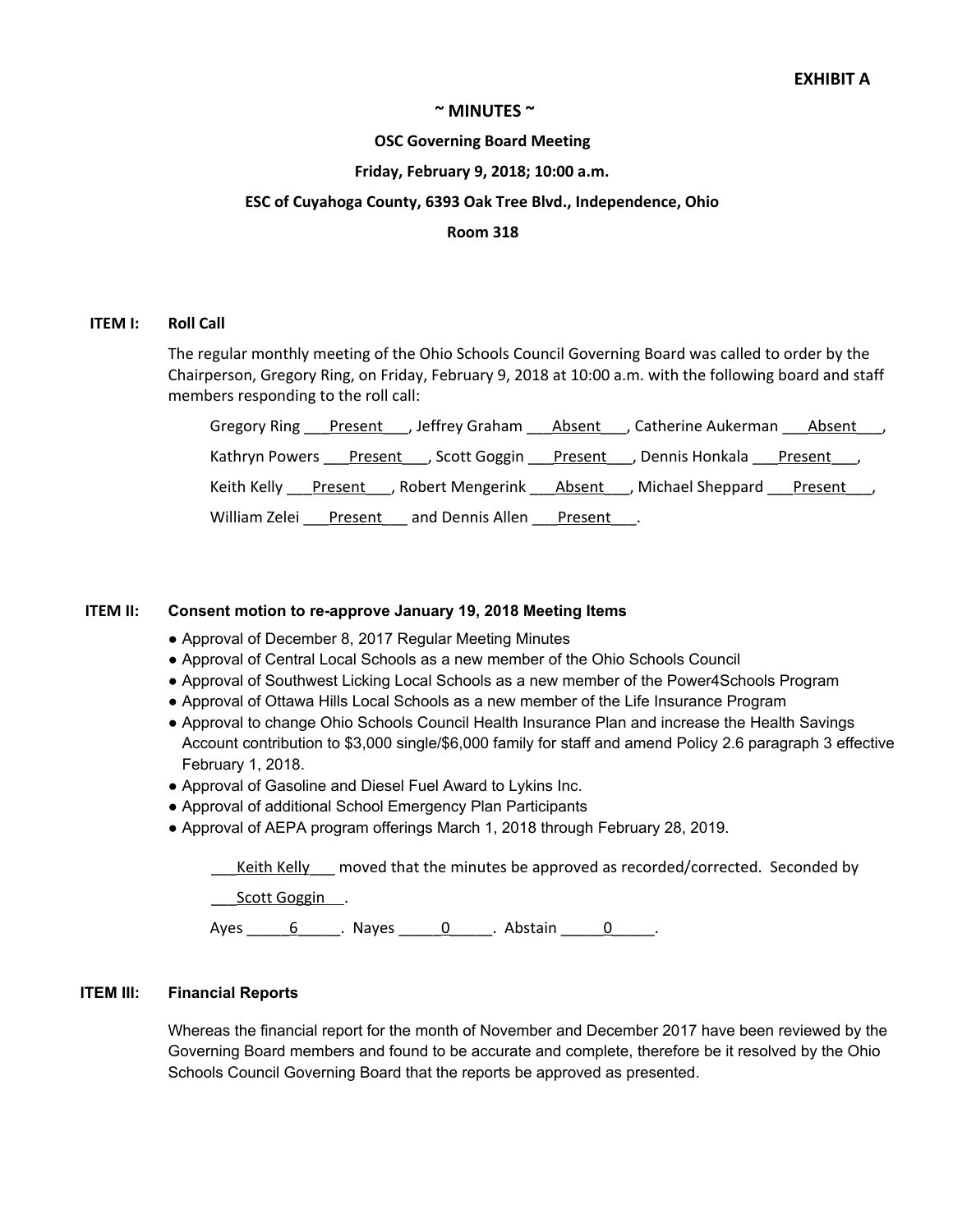## **~ MINUTES ~**

### **OSC Governing Board Meeting**

### **Friday, February 9, 2018; 10:00 a.m.**

### **ESC of Cuyahoga County, 6393 Oak Tree Blvd., Independence, Ohio**

#### **Room 318**

#### **ITEM I: Roll Call**

The regular monthly meeting of the Ohio Schools Council Governing Board was called to order by the Chairperson, Gregory Ring, on Friday, February 9, 2018 at 10:00 a.m. with the following board and staff members responding to the roll call:

|                                                                          | Gregory Ring Present Jeffrey Graham Absent JCatherine Aukerman Absent    |
|--------------------------------------------------------------------------|--------------------------------------------------------------------------|
| Kathryn Powers Present , Scott Goggin Present , Dennis Honkala Present , |                                                                          |
|                                                                          | Keith Kelly Present , Robert Mengerink Absent , Michael Sheppard Present |
| William Zelei Present and Dennis Allen Present.                          |                                                                          |

### **ITEM II: Consent motion to re-approve January 19, 2018 Meeting Items**

- Approval of December 8, 2017 Regular Meeting Minutes
- Approval of Central Local Schools as a new member of the Ohio Schools Council
- Approval of Southwest Licking Local Schools as a new member of the Power4Schools Program
- Approval of Ottawa Hills Local Schools as a new member of the Life Insurance Program
- Approval to change Ohio Schools Council Health Insurance Plan and increase the Health Savings Account contribution to \$3,000 single/\$6,000 family for staff and amend Policy 2.6 paragraph 3 effective February 1, 2018.
- Approval of Gasoline and Diesel Fuel Award to Lykins Inc.
- Approval of additional School Emergency Plan Participants
- Approval of AEPA program offerings March 1, 2018 through February 28, 2019.

Keith Kelly moved that the minutes be approved as recorded/corrected. Seconded by

Scott Goggin ...

Ayes \_\_\_\_\_6\_\_\_\_\_. Nayes \_\_\_\_\_0\_\_\_\_\_. Abstain \_\_\_\_\_0\_\_\_\_\_.

### **ITEM III: Financial Reports**

Whereas the financial report for the month of November and December 2017 have been reviewed by the Governing Board members and found to be accurate and complete, therefore be it resolved by the Ohio Schools Council Governing Board that the reports be approved as presented.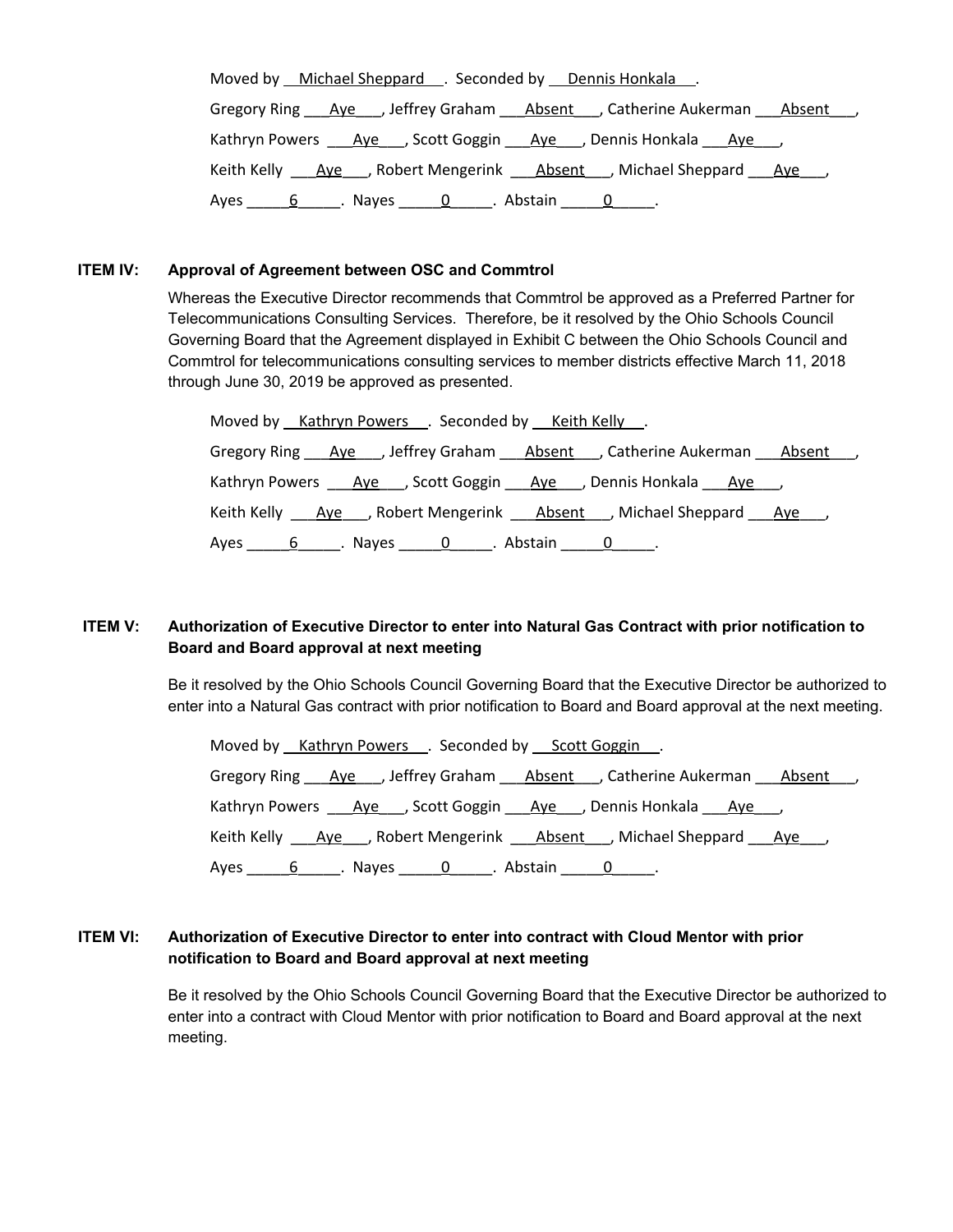| Moved by Michael Sheppard Corrected by Dennis Honkala November 2.    |
|----------------------------------------------------------------------|
| Gregory Ring Aye , Jeffrey Graham Absent , Catherine Aukerman Absent |
| Kathryn Powers Aye , Scott Goggin Aye , Dennis Honkala Aye ,         |
| Keith Kelly Ave , Robert Mengerink Absent , Michael Sheppard Ave     |
| Ayes $6 \qquad 6$ Nayes $0 \qquad$ Abstain $0 \qquad 0 \qquad$       |

## **ITEM IV: Approval of Agreement between OSC and Commtrol**

Whereas the Executive Director recommends that Commtrol be approved as a Preferred Partner for Telecommunications Consulting Services. Therefore, be it resolved by the Ohio Schools Council Governing Board that the Agreement displayed in Exhibit C between the Ohio Schools Council and Commtrol for telecommunications consulting services to member districts effective March 11, 2018 through June 30, 2019 be approved as presented.

| Moved by Kathryn Powers . Seconded by Keith Kelly .                                               |
|---------------------------------------------------------------------------------------------------|
| Gregory Ring ____ Aye____, Jeffrey Graham _____ Absent ___, Catherine Aukerman _____ Absent ____, |
| Kathryn Powers ____ Aye ___, Scott Goggin ____ Aye ___, Dennis Honkala ____ Aye ___,              |
| Keith Kelly Aye , Robert Mengerink Absent , Michael Sheppard Aye,                                 |
| Ayes _______6_______. Nayes _______0_______. Abstain _______0_______.                             |

# **ITEM V: Authorization of Executive Director to enter into Natural Gas Contract with prior notification to Board and Board approval at next meeting**

Be it resolved by the Ohio Schools Council Governing Board that the Executive Director be authorized to enter into a Natural Gas contract with prior notification to Board and Board approval at the next meeting.

| Moved by Kathryn Powers . Seconded by Scott Goggin .                                                                 |
|----------------------------------------------------------------------------------------------------------------------|
| Gregory Ring ____ <u>Aye</u> ____, Jeffrey Graham ____ <u>Absent</u> ___, Catherine Aukerman ____ <u>Absent</u> ___, |
| Kathryn Powers <u>Aye</u> J Scott Goggin Ave J Dennis Honkala Ave J                                                  |
| Keith Kelly Ave , Robert Mengerink Absent , Michael Sheppard Ave ,                                                   |
| Ayes _______6_______. Nayes ________0_______. Abstain ________0_______.                                              |

# **ITEM VI: Authorization of Executive Director to enter into contract with Cloud Mentor with prior notification to Board and Board approval at next meeting**

Be it resolved by the Ohio Schools Council Governing Board that the Executive Director be authorized to enter into a contract with Cloud Mentor with prior notification to Board and Board approval at the next meeting.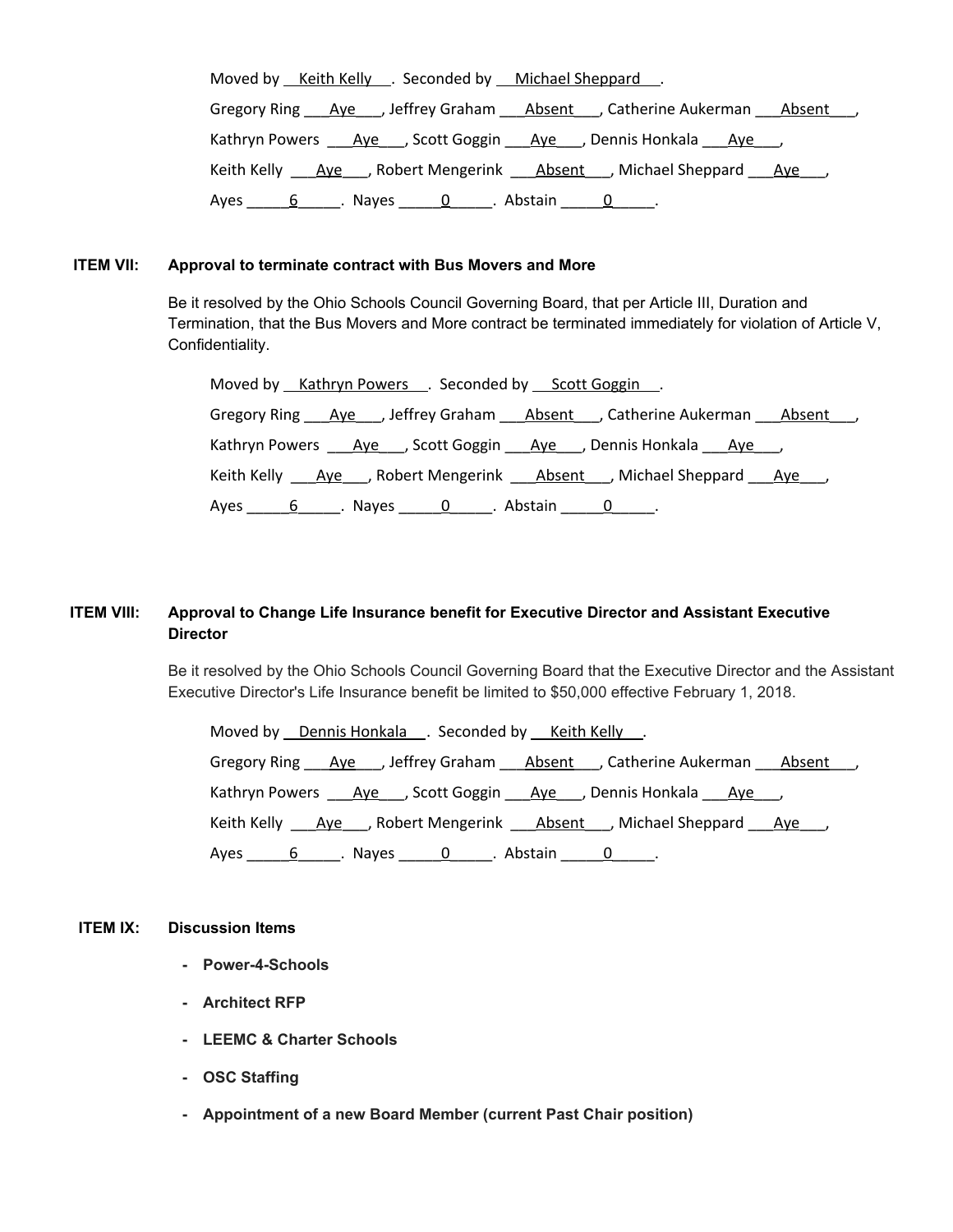| Moved by <u>Keith Kelly</u> Corrected by Michael Sheppard Keith Kelly |
|-----------------------------------------------------------------------|
| Gregory Ring Aye , Jeffrey Graham Absent , Catherine Aukerman Absent  |
| Kathryn Powers Ave , Scott Goggin Ave , Dennis Honkala Ave ,          |
| Keith Kelly Ave , Robert Mengerink Absent , Michael Sheppard Ave      |
| Ayes 6 Nayes 0 Abstain 0 0                                            |

## **ITEM VII: Approval to terminate contract with Bus Movers and More**

Be it resolved by the Ohio Schools Council Governing Board, that per Article III, Duration and Termination, that the Bus Movers and More contract be terminated immediately for violation of Article V, Confidentiality.

| Moved by Kathryn Powers . Seconded by Scott Goggin.                                                                  |
|----------------------------------------------------------------------------------------------------------------------|
| Gregory Ring ____ <u>Aye</u> ____, Jeffrey Graham ____ <u>Absent</u> ___, Catherine Aukerman ____ <u>Absent</u> ___, |
| Kathryn Powers _ _ <u>Aye</u> _ _, Scott Goggin _ _ <u>Aye</u> _ _ , Dennis Honkala _ _ <u>Aye</u> _ _ ,             |
| Keith Kelly ____ <u>Aye</u> ____, Robert Mengerink _____ <u>Absent</u> ___, Michael Sheppard ____ <u>Aye ___</u> ,   |
| Ayes _______6_______. Nayes ________0_______. Abstain ________0_______.                                              |

# **ITEM VIII: Approval to Change Life Insurance benefit for Executive Director and Assistant Executive Director**

Be it resolved by the Ohio Schools Council Governing Board that the Executive Director and the Assistant Executive Director's Life Insurance benefit be limited to \$50,000 effective February 1, 2018.

| Moved by Dennis Honkala __. Seconded by ___ Keith Kelly ___.           |
|------------------------------------------------------------------------|
| Gregory Ring Aye , Jeffrey Graham Absent , Catherine Aukerman Absent , |
| Kathryn Powers <u>Aye</u> , Scott Goggin Aye , Dennis Honkala Aye ,    |
| Keith Kelly Ave , Robert Mengerink Absent , Michael Sheppard Ave ,     |
| Ayes _______6_______. Nayes _______0_______. Abstain _______0_______.  |

# **ITEM IX: Discussion Items**

- **- Power-4-Schools**
- **- Architect RFP**
- **- LEEMC & Charter Schools**
- **- OSC Staffing**
- **- Appointment of a new Board Member (current Past Chair position)**